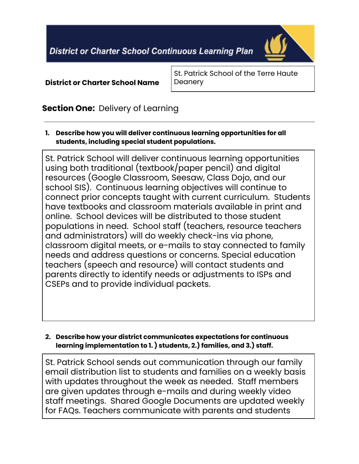**District or Charter School Continuous Learning Plan** 



**District or Charter School Name**

St. Patrick School of the Terre Haute **Deanery** 

## **Section One:** Delivery of Learning

**1. Describe how you will deliver continuous learning opportunities for all students, including special student populations.**

St. Patrick School will deliver continuous learning opportunities using both traditional (textbook/paper pencil) and digital resources (Google Classroom, Seesaw, Class Dojo, and our school SIS). Continuous learning objectives will continue to connect prior concepts taught with current curriculum. Students have textbooks and classroom materials available in print and online. School devices will be distributed to those student populations in need. School staff (teachers, resource teachers and administrators) will do weekly check-ins via phone, classroom digital meets, or e-mails to stay connected to family needs and address questions or concerns. Special education teachers (speech and resource) will contact students and parents directly to identify needs or adjustments to ISPs and CSEPs and to provide individual packets.

### **2. Describe how your district communicates expectations for continuous learning implementation to 1. ) students, 2.) families, and 3.) staff.**

St. Patrick School sends out communication through our family email distribution list to students and families on a weekly basis with updates throughout the week as needed. Staff members are given updates through e-mails and during weekly video staff meetings. Shared Google Documents are updated weekly for FAQs. Teachers communicate with parents and students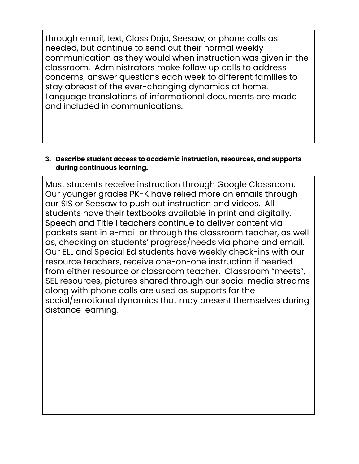through email, text, Class Dojo, Seesaw, or phone calls as needed, but continue to send out their normal weekly communication as they would when instruction was given in the classroom. Administrators make follow up calls to address concerns, answer questions each week to different families to stay abreast of the ever-changing dynamics at home. Language translations of informational documents are made and included in communications.

#### **3. Describe student access to academic instruction, resources, and supports during continuous learning.**

Most students receive instruction through Google Classroom. Our younger grades PK-K have relied more on emails through our SIS or Seesaw to push out instruction and videos. All students have their textbooks available in print and digitally. Speech and Title I teachers continue to deliver content via packets sent in e-mail or through the classroom teacher, as well as, checking on students' progress/needs via phone and email. Our ELL and Special Ed students have weekly check-ins with our resource teachers, receive one-on-one instruction if needed from either resource or classroom teacher. Classroom "meets", SEL resources, pictures shared through our social media streams along with phone calls are used as supports for the social/emotional dynamics that may present themselves during distance learning.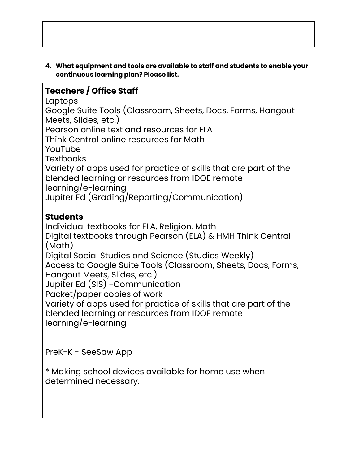**4. What equipment and tools are available to staff and students to enable your continuous learning plan? Please list.**

# **Teachers / Office Staff**

Laptops

Google Suite Tools (Classroom, Sheets, Docs, Forms, Hangout Meets, Slides, etc.) Pearson online text and resources for ELA

Think Central online resources for Math

YouTube

**Textbooks** 

Variety of apps used for practice of skills that are part of the blended learning or resources from IDOE remote learning/e-learning

Jupiter Ed (Grading/Reporting/Communication)

# **Students**

Individual textbooks for ELA, Religion, Math Digital textbooks through Pearson (ELA) & HMH Think Central (Math) Digital Social Studies and Science (Studies Weekly) Access to Google Suite Tools (Classroom, Sheets, Docs, Forms, Hangout Meets, Slides, etc.) Jupiter Ed (SIS) -Communication Packet/paper copies of work Variety of apps used for practice of skills that are part of the blended learning or resources from IDOE remote learning/e-learning

PreK-K - SeeSaw App

\* Making school devices available for home use when determined necessary.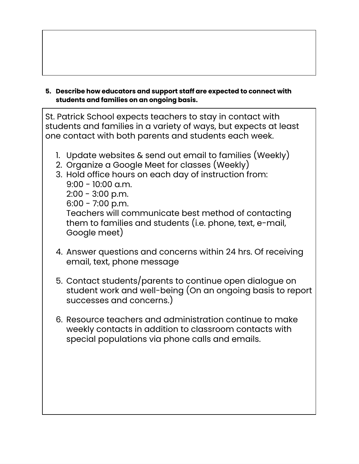**5. Describe how educators and support staff are expected to connect with students and families on an ongoing basis.**

St. Patrick School expects teachers to stay in contact with students and families in a variety of ways, but expects at least one contact with both parents and students each week.

- 1. Update websites & send out email to families (Weekly)
- 2. Organize a Google Meet for classes (Weekly)
- 3. Hold office hours on each day of instruction from:  $9:00 - 10:00$  a.m. 2:00 - 3:00 p.m. 6:00 - 7:00 p.m. Teachers will communicate best method of contacting them to families and students (i.e. phone, text, e-mail, Google meet)
- 4. Answer questions and concerns within 24 hrs. Of receiving email, text, phone message
- 5. Contact students/parents to continue open dialogue on student work and well-being (On an ongoing basis to report successes and concerns.)
- 6. Resource teachers and administration continue to make weekly contacts in addition to classroom contacts with special populations via phone calls and emails.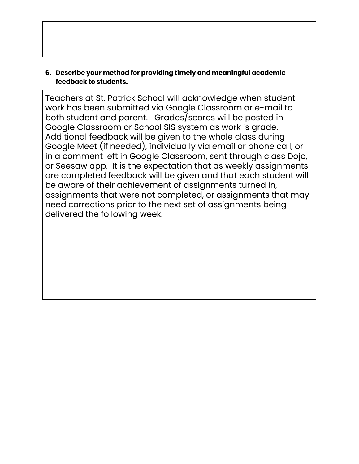### **6. Describe your method for providing timely and meaningful academic feedback to students.**

Teachers at St. Patrick School will acknowledge when student work has been submitted via Google Classroom or e-mail to both student and parent. Grades/scores will be posted in Google Classroom or School SIS system as work is grade. Additional feedback will be given to the whole class during Google Meet (if needed), individually via email or phone call, or in a comment left in Google Classroom, sent through class Dojo, or Seesaw app. It is the expectation that as weekly assignments are completed feedback will be given and that each student will be aware of their achievement of assignments turned in, assignments that were not completed, or assignments that may need corrections prior to the next set of assignments being delivered the following week.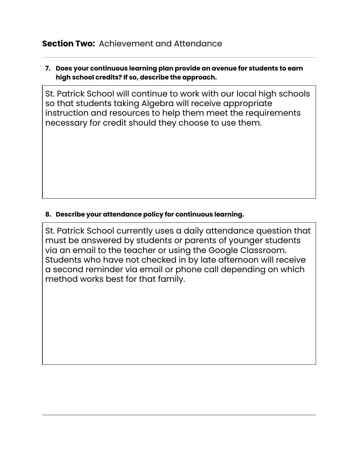### **Section Two:** Achievement and Attendance

### **7. Does your continuous learning plan provide an avenue for students to earn high school credits? If so, describe the approach.**

St. Patrick School will continue to work with our local high schools so that students taking Algebra will receive appropriate instruction and resources to help them meet the requirements necessary for credit should they choose to use them.

### **8. Describe your attendance policy for continuous learning.**

St. Patrick School currently uses a daily attendance question that must be answered by students or parents of younger students via an email to the teacher or using the Google Classroom. Students who have not checked in by late afternoon will receive a second reminder via email or phone call depending on which method works best for that family.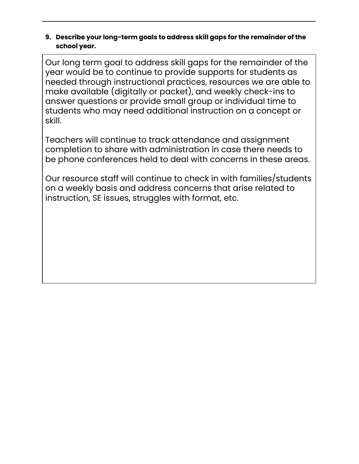### **9. Describe your long-term goals to address skill gaps for the remainder of the school year.**

Our long term goal to address skill gaps for the remainder of the year would be to continue to provide supports for students as needed through instructional practices, resources we are able to make available (digitally or packet), and weekly check-ins to answer questions or provide small group or individual time to students who may need additional instruction on a concept or skill.

Teachers will continue to track attendance and assignment completion to share with administration in case there needs to be phone conferences held to deal with concerns in these areas.

Our resource staff will continue to check in with families/students on a weekly basis and address concerns that arise related to instruction, SE issues, struggles with format, etc.